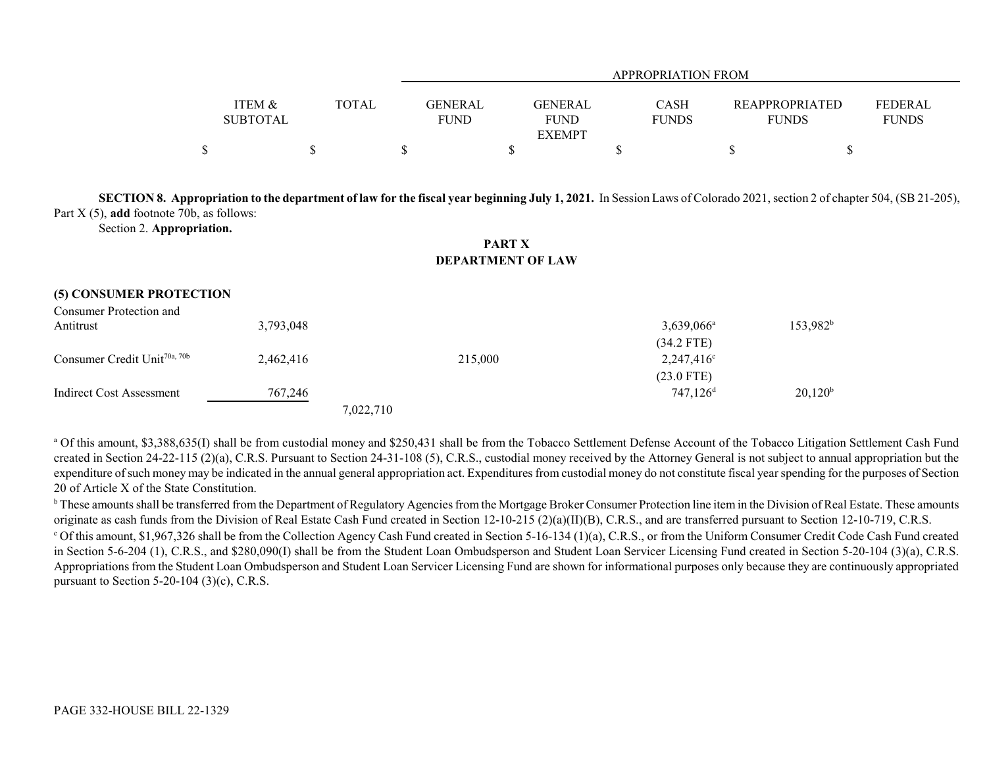|                                      |              |                        | APPROPRIATION FROM                      |                             |                                       |                                |  |  |
|--------------------------------------|--------------|------------------------|-----------------------------------------|-----------------------------|---------------------------------------|--------------------------------|--|--|
| <b>ITEM &amp;</b><br><b>SUBTOTAL</b> | <b>TOTAL</b> | GENERAL<br><b>FUND</b> | GENERAL<br><b>FUND</b><br><b>EXEMPT</b> | <b>CASH</b><br><b>FUNDS</b> | <b>REAPPROPRIATED</b><br><b>FUNDS</b> | <b>FEDERAL</b><br><b>FUNDS</b> |  |  |
|                                      |              |                        |                                         |                             |                                       |                                |  |  |

**SECTION 8. Appropriation to the department of law for the fiscal year beginning July 1, 2021.** In Session Laws of Colorado 2021, section 2 of chapter 504, (SB 21-205), Part X (5), **add** footnote 70b, as follows:

Section 2. **Appropriation.**

**PART XDEPARTMENT OF LAW**

## **(5) CONSUMER PROTECTION**

| Consumer Protection and                  |           |           |                        |             |
|------------------------------------------|-----------|-----------|------------------------|-------------|
| Antitrust                                | 3,793,048 |           | $3,639,066^{\circ}$    | $153,982^b$ |
|                                          |           |           | $(34.2$ FTE)           |             |
| Consumer Credit Unit <sup>70a, 70b</sup> | 2,462,416 | 215,000   | $2,247,416^{\circ}$    |             |
|                                          |           |           | $(23.0$ FTE)           |             |
| Indirect Cost Assessment                 | 767,246   |           | $747,126$ <sup>d</sup> | $20,120^b$  |
|                                          |           | 7,022,710 |                        |             |

<sup>a</sup> Of this amount, \$3,388,635(I) shall be from custodial money and \$250,431 shall be from the Tobacco Settlement Defense Account of the Tobacco Litigation Settlement Cash Fund created in Section 24-22-115 (2)(a), C.R.S. Pursuant to Section 24-31-108 (5), C.R.S., custodial money received by the Attorney General is not subject to annual appropriation but the expenditure of such money may be indicated in the annual general appropriation act. Expenditures from custodial money do not constitute fiscal year spending for the purposes of Section 20 of Article X of the State Constitution.

<sup>b</sup> These amounts shall be transferred from the Department of Regulatory Agencies from the Mortgage Broker Consumer Protection line item in the Division of Real Estate. These amounts originate as cash funds from the Division of Real Estate Cash Fund created in Section 12-10-215 (2)(a)(II)(B), C.R.S., and are transferred pursuant to Section 12-10-719, C.R.S.

<sup>c</sup> Of this amount, \$1,967,326 shall be from the Collection Agency Cash Fund created in Section 5-16-134 (1)(a), C.R.S., or from the Uniform Consumer Credit Code Cash Fund created in Section 5-6-204 (1), C.R.S., and \$280,090(I) shall be from the Student Loan Ombudsperson and Student Loan Servicer Licensing Fund created in Section 5-20-104 (3)(a), C.R.S. Appropriations from the Student Loan Ombudsperson and Student Loan Servicer Licensing Fund are shown for informational purposes only because they are continuously appropriated pursuant to Section 5-20-104 (3)(c), C.R.S.